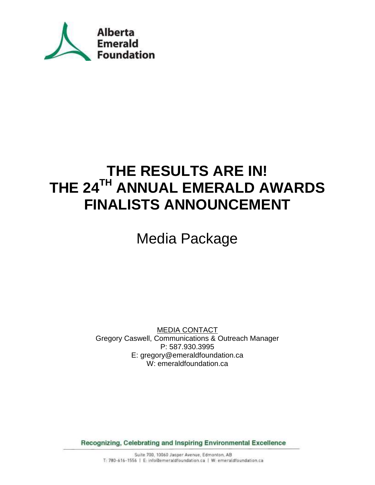

# **THE RESULTS ARE IN! THE 24TH ANNUAL EMERALD AWARDS FINALISTS ANNOUNCEMENT**

# Media Package

MEDIA CONTACT Gregory Caswell, Communications & Outreach Manager P: 587.930.3995 E: gregory@emeraldfoundation.ca W: emeraldfoundation.ca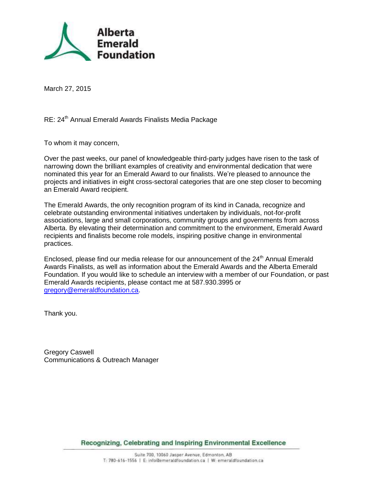

March 27, 2015

### RE: 24<sup>th</sup> Annual Emerald Awards Finalists Media Package

To whom it may concern,

Over the past weeks, our panel of knowledgeable third-party judges have risen to the task of narrowing down the brilliant examples of creativity and environmental dedication that were nominated this year for an Emerald Award to our finalists. We're pleased to announce the projects and initiatives in eight cross-sectoral categories that are one step closer to becoming an Emerald Award recipient.

The Emerald Awards, the only recognition program of its kind in Canada, recognize and celebrate outstanding environmental initiatives undertaken by individuals, not-for-profit associations, large and small corporations, community groups and governments from across Alberta. By elevating their determination and commitment to the environment, Emerald Award recipients and finalists become role models, inspiring positive change in environmental practices.

Enclosed, please find our media release for our announcement of the 24<sup>th</sup> Annual Emerald Awards Finalists, as well as information about the Emerald Awards and the Alberta Emerald Foundation. If you would like to schedule an interview with a member of our Foundation, or past Emerald Awards recipients, please contact me at 587.930.3995 or [gregory@emeraldfoundation.ca.](mailto:gregory@emeraldfoundation.ca)

Thank you.

Gregory Caswell Communications & Outreach Manager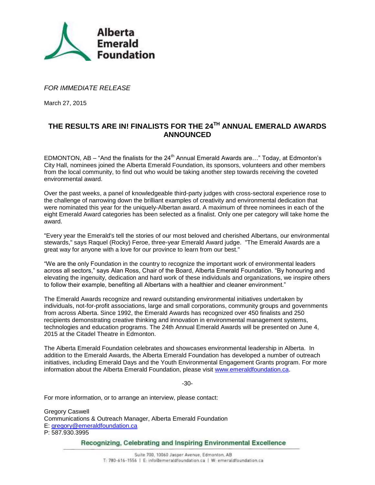

#### *FOR IMMEDIATE RELEASE*

March 27, 2015

## **THE RESULTS ARE IN! FINALISTS FOR THE 24TH ANNUAL EMERALD AWARDS ANNOUNCED**

EDMONTON, AB – "And the finalists for the  $24<sup>th</sup>$  Annual Emerald Awards are..." Today, at Edmonton's City Hall, nominees joined the Alberta Emerald Foundation, its sponsors, volunteers and other members from the local community, to find out who would be taking another step towards receiving the coveted environmental award.

Over the past weeks, a panel of knowledgeable third-party judges with cross-sectoral experience rose to the challenge of narrowing down the brilliant examples of creativity and environmental dedication that were nominated this year for the uniquely-Albertan award. A maximum of three nominees in each of the eight Emerald Award categories has been selected as a finalist. Only one per category will take home the award.

"Every year the Emerald's tell the stories of our most beloved and cherished Albertans, our environmental stewards," says Raquel (Rocky) Feroe, three-year Emerald Award judge. "The Emerald Awards are a great way for anyone with a love for our province to learn from our best."

"We are the only Foundation in the country to recognize the important work of environmental leaders across all sectors," says Alan Ross, Chair of the Board, Alberta Emerald Foundation. "By honouring and elevating the ingenuity, dedication and hard work of these individuals and organizations, we inspire others to follow their example, benefiting all Albertans with a healthier and cleaner environment."

The Emerald Awards recognize and reward outstanding environmental initiatives undertaken by individuals, not-for-profit associations, large and small corporations, community groups and governments from across Alberta. Since 1992, the Emerald Awards has recognized over 450 finalists and 250 recipients demonstrating creative thinking and innovation in environmental management systems, technologies and education programs. The 24th Annual Emerald Awards will be presented on June 4, 2015 at the Citadel Theatre in Edmonton.

The Alberta Emerald Foundation celebrates and showcases environmental leadership in Alberta. In addition to the Emerald Awards, the Alberta Emerald Foundation has developed a number of outreach initiatives, including Emerald Days and the Youth Environmental Engagement Grants program. For more information about the Alberta Emerald Foundation, please visit [www.emeraldfoundation.ca.](http://www.emeraldfoundation.ca/)

-30-

For more information, or to arrange an interview, please contact:

Gregory Caswell Communications & Outreach Manager, Alberta Emerald Foundation E: [gregory@emeraldfoundation.ca](mailto:gregory@emeraldfoundation.ca) P: 587.930.3995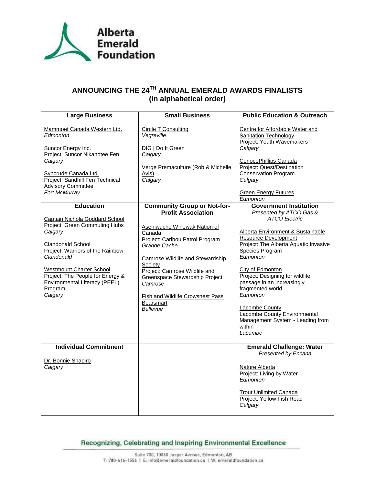

# **ANNOUNCING THE 24TH ANNUAL EMERALD AWARDS FINALISTS (in alphabetical order)**

| <b>Large Business</b>                                                                                                                                                                                                                                                                  | <b>Small Business</b>                                                                                                                                                                                                                                                                                                                 | <b>Public Education &amp; Outreach</b>                                                                                                                                                                                                                                                                                                                                                                                      |
|----------------------------------------------------------------------------------------------------------------------------------------------------------------------------------------------------------------------------------------------------------------------------------------|---------------------------------------------------------------------------------------------------------------------------------------------------------------------------------------------------------------------------------------------------------------------------------------------------------------------------------------|-----------------------------------------------------------------------------------------------------------------------------------------------------------------------------------------------------------------------------------------------------------------------------------------------------------------------------------------------------------------------------------------------------------------------------|
| Mammoet Canada Western Ltd.<br>Edmonton<br>Suncor Energy Inc.<br>Project: Suncor Nikanotee Fen<br>Calgary                                                                                                                                                                              | <b>Circle T Consulting</b><br>Vegreville<br>DIG   Do It Green<br>Calgary                                                                                                                                                                                                                                                              | Centre for Affordable Water and<br><b>Sanitation Technology</b><br>Project: Youth Wavemakers<br>Calgary<br>ConocoPhillips Canada                                                                                                                                                                                                                                                                                            |
| Syncrude Canada Ltd.<br>Project: Sandhill Fen Technical<br><b>Advisory Committee</b><br>Fort McMurray                                                                                                                                                                                  | Verge Premaculture (Rob & Michelle<br>Avis)<br>Calgary                                                                                                                                                                                                                                                                                | Project: Quest/Destination<br>Conservation Program<br>Calgary<br><b>Green Energy Futures</b>                                                                                                                                                                                                                                                                                                                                |
|                                                                                                                                                                                                                                                                                        |                                                                                                                                                                                                                                                                                                                                       | Edmonton                                                                                                                                                                                                                                                                                                                                                                                                                    |
| <b>Education</b>                                                                                                                                                                                                                                                                       | <b>Community Group or Not-for-</b>                                                                                                                                                                                                                                                                                                    | <b>Government Institution</b>                                                                                                                                                                                                                                                                                                                                                                                               |
| Captain Nichola Goddard School<br>Project: Green Commuting Hubs<br>Calgary<br><b>Clandonald School</b><br>Project: Warriors of the Rainbow<br>Clandonald<br><b>Westmount Charter School</b><br>Project: The People for Energy &<br>Environmental Literacy (PEEL)<br>Program<br>Calgary | <b>Profit Association</b><br>Aseniwuche Winewak Nation of<br>Canada<br>Project: Caribou Patrol Program<br>Grande Cache<br><b>Camrose Wildlife and Stewardship</b><br>Society<br>Project: Camrose Wildlife and<br>Greenspace Stewardship Project<br>Camrose<br><b>Fish and Wildlife Crowsnest Pass</b><br><b>Bearsmart</b><br>Bellevue | Presented by ATCO Gas &<br><b>ATCO Electric</b><br>Alberta Environment & Sustainable<br><b>Resource Development</b><br>Project: The Alberta Aquatic Invasive<br>Species Program<br>Edmonton<br>City of Edmonton<br>Project: Designing for wildlife<br>passage in an increasingly<br>fragmented world<br>Edmonton<br>Lacombe County<br>Lacombe County Environmental<br>Management System - Leading from<br>within<br>Lacombe |
| <b>Individual Commitment</b><br>Dr. Bonnie Shapiro<br>Calgary                                                                                                                                                                                                                          |                                                                                                                                                                                                                                                                                                                                       | <b>Emerald Challenge: Water</b><br>Presented by Encana<br>Nature Alberta<br>Project: Living by Water<br>Edmonton<br><b>Trout Unlimited Canada</b><br>Project: Yellow Fish Road<br>Calgary                                                                                                                                                                                                                                   |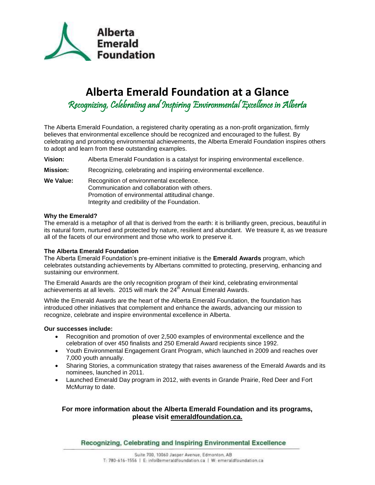

# **Alberta Emerald Foundation at a Glance**

Recognizing, Celebrating and Inspiring Environmental Excellence in Alberta

The Alberta Emerald Foundation, a registered charity operating as a non-profit organization, firmly believes that environmental excellence should be recognized and encouraged to the fullest. By celebrating and promoting environmental achievements, the Alberta Emerald Foundation inspires others to adopt and learn from these outstanding examples.

**Vision:** Alberta Emerald Foundation is a catalyst for inspiring environmental excellence.

**Mission:** Recognizing, celebrating and inspiring environmental excellence.

**We Value:** Recognition of environmental excellence. Communication and collaboration with others. Promotion of environmental attitudinal change. Integrity and credibility of the Foundation.

#### **Why the Emerald?**

The emerald is a metaphor of all that is derived from the earth: it is brilliantly green, precious, beautiful in its natural form, nurtured and protected by nature, resilient and abundant. We treasure it, as we treasure all of the facets of our environment and those who work to preserve it.

#### **The Alberta Emerald Foundation**

The Alberta Emerald Foundation's pre-eminent initiative is the **Emerald Awards** program, which celebrates outstanding achievements by Albertans committed to protecting, preserving, enhancing and sustaining our environment.

The Emerald Awards are the only recognition program of their kind, celebrating environmental achievements at all levels. 2015 will mark the  $24<sup>th</sup>$  Annual Emerald Awards.

While the Emerald Awards are the heart of the Alberta Emerald Foundation, the foundation has introduced other initiatives that complement and enhance the awards, advancing our mission to recognize, celebrate and inspire environmental excellence in Alberta.

#### **Our successes include:**

- Recognition and promotion of over 2,500 examples of environmental excellence and the celebration of over 450 finalists and 250 Emerald Award recipients since 1992.
- Youth Environmental Engagement Grant Program, which launched in 2009 and reaches over 7,000 youth annually.
- Sharing Stories, a communication strategy that raises awareness of the Emerald Awards and its nominees, launched in 2011.
- Launched Emerald Day program in 2012, with events in Grande Prairie, Red Deer and Fort McMurray to date.

#### **For more information about the Alberta Emerald Foundation and its programs, please visit emeraldfoundation.ca.**